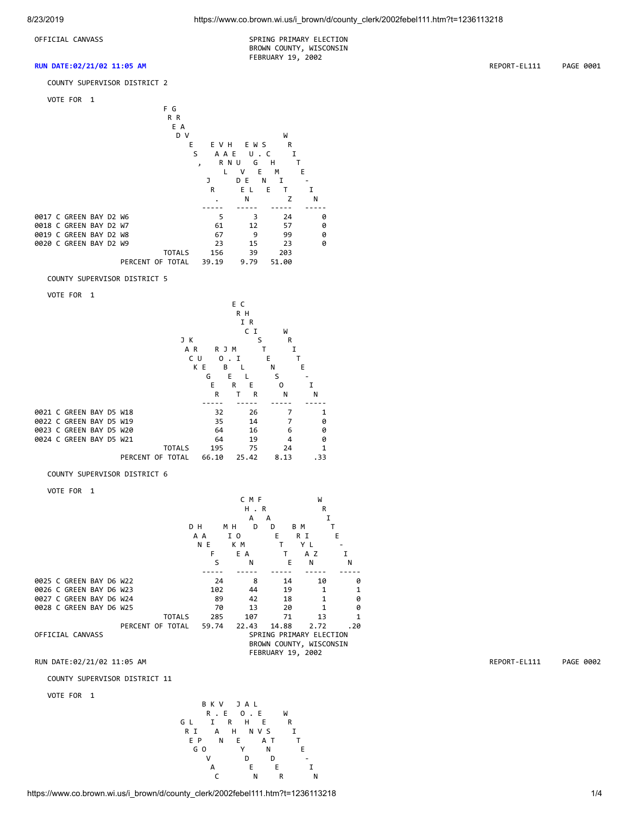OFFICIAL CANVASS SPRING PRIMARY ELECTION BROWN COUNTY, WISCONSIN FEBRUARY 19, 2002

#### **RUN DATE:02/21/02 11:05 AM** REPORT-EL111 PAGE 0001

COUNTY SUPERVISOR DISTRICT 2

VOTE FOR 1



#### COUNTY SUPERVISOR DISTRICT 5

VOTE FOR 1

|  |                         |  |                  |               |     |       | E C |       |   |      |     |  |
|--|-------------------------|--|------------------|---------------|-----|-------|-----|-------|---|------|-----|--|
|  |                         |  |                  | R H           |     |       |     |       |   |      |     |  |
|  |                         |  |                  |               |     |       |     | I R   |   |      |     |  |
|  |                         |  |                  |               |     |       |     | C I   |   | W    |     |  |
|  |                         |  |                  | JK            |     |       |     | S     |   | R    |     |  |
|  |                         |  |                  | A R           |     | R J M |     |       |   | I    |     |  |
|  |                         |  |                  |               | C U | 0     | п.  |       | E |      | т   |  |
|  |                         |  |                  |               | K E | В     |     |       | N |      | E   |  |
|  |                         |  |                  |               | G   |       | E   |       | S |      |     |  |
|  |                         |  |                  |               |     | E     | R   | Е     | 0 |      | I   |  |
|  |                         |  |                  |               |     | R     | т   | R     |   | N    | N   |  |
|  |                         |  |                  |               |     |       |     |       |   |      |     |  |
|  | 0021 C GREEN BAY D5 W18 |  |                  |               |     | 32    |     | 26    |   | 7    | 1   |  |
|  | 0022 C GREEN BAY D5 W19 |  |                  |               |     | 35    |     | 14    |   |      | 0   |  |
|  | 0023 C GREEN BAY D5 W20 |  |                  |               |     | 64    |     | 16    |   | 6    | 0   |  |
|  | 0024 C GREEN BAY D5 W21 |  |                  |               |     | 64    |     | 19    |   | 4    | 0   |  |
|  |                         |  |                  | <b>TOTALS</b> |     | 195   |     | 75    |   | 24   | 1   |  |
|  |                         |  | PERCENT OF TOTAL |               |     | 66.10 |     | 25.42 |   | 8.13 | .33 |  |

#### COUNTY SUPERVISOR DISTRICT 6

VOTE FOR 1

|                         |                  |               |       | CMF    |                   | W                       |     |  |  |
|-------------------------|------------------|---------------|-------|--------|-------------------|-------------------------|-----|--|--|
|                         |                  |               |       |        | H.R               | R                       |     |  |  |
|                         |                  |               |       | А      | A                 |                         | I   |  |  |
|                         |                  |               | D H   | мн     | D<br>D            | B M                     | т   |  |  |
|                         |                  |               | A A   | I O    | Е                 | R I                     | E   |  |  |
|                         |                  |               | N E   | КM     | т                 | YL                      |     |  |  |
|                         |                  |               | F     | E<br>A |                   | A Z                     |     |  |  |
|                         |                  |               | S     | N      | E                 | N                       | N   |  |  |
|                         |                  |               |       |        |                   |                         |     |  |  |
| 0025 C GREEN BAY D6 W22 |                  |               | 24    |        | 8<br>14           | 10                      | ø   |  |  |
| 0026 C GREEN BAY D6 W23 |                  |               | 102   | 44     | 19                | 1                       | 1   |  |  |
| 0027 C GREEN BAY D6 W24 |                  |               | 89    | 42     | 18                | 1                       | 0   |  |  |
| 0028 C GREEN BAY D6 W25 |                  |               | 70    | 13     | 20                |                         | ø   |  |  |
|                         |                  | <b>TOTALS</b> | 285   | 107    | 71                | 13                      |     |  |  |
|                         | PERCENT OF TOTAL |               | 59.74 | 22.43  | 14.88             | 2.72                    | .20 |  |  |
| OFFICIAL CANVASS        |                  |               |       |        |                   | SPRING PRIMARY ELECTION |     |  |  |
|                         |                  |               |       |        |                   | BROWN COUNTY, WISCONSIN |     |  |  |
|                         |                  |               |       |        | FEBRUARY 19, 2002 |                         |     |  |  |

### RUN DATE:02/21/02 11:05 AM REPORT-EL111 PAGE 0002

COUNTY SUPERVISOR DISTRICT 11

VOTE FOR 1

B K V J A L<br>R . E O . E R . E O . E W<br>G L I R H E R GL I R H E R R I A H N V S I EP N E A T T GO Y N E V D D - A E E I C N R N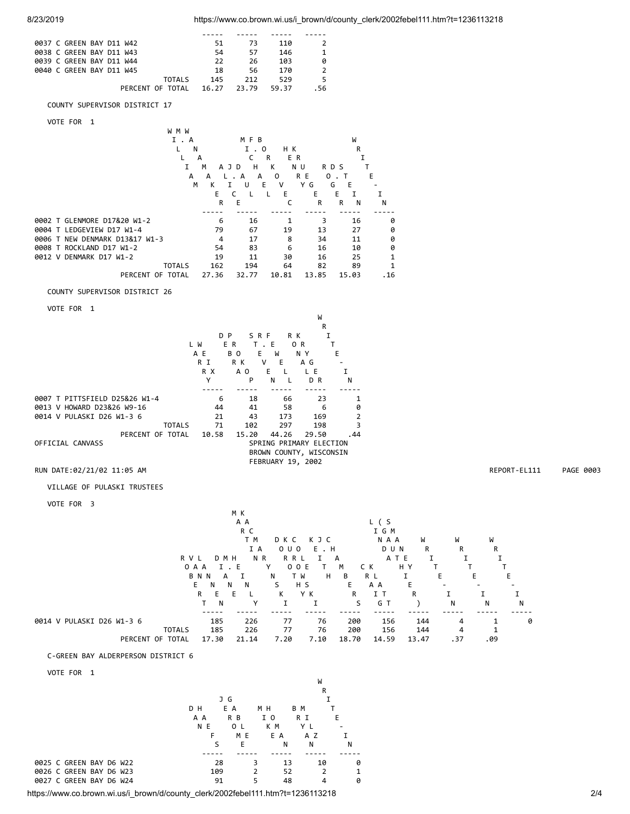| 0037 C GREEN BAY D11 W42 | 51    | 73    | 110   |      |
|--------------------------|-------|-------|-------|------|
| 0038 C GREEN BAY D11 W43 | 54    | 57    | 146   |      |
| 0039 C GREEN BAY D11 W44 | 22    | 26    | 103   | 0    |
| 0040 C GREEN BAY D11 W45 | 18    | 56    | 170   | 2    |
| TOTAL S                  | 145   | 212   | 529   |      |
| PERCENT OF TOTAL         | 16.27 | 23.79 | 59.37 | . 56 |

# COUNTY SUPERVISOR DISTRICT 17

| VOTE<br>FOR |
|-------------|
|-------------|

|                                | W M W         |       |            |          |          |        |      |
|--------------------------------|---------------|-------|------------|----------|----------|--------|------|
|                                | I.A           |       | MFB        |          |          | W      |      |
|                                | N             |       | Ι.         | нĸ<br>0  |          | R      |      |
|                                | L             | А     | c          | E R<br>R |          |        |      |
|                                | I             | M     | н<br>A J D | К        | N U      | R D S  |      |
|                                | А             | А     | A<br>A     | $\Omega$ | R E<br>0 | Т      | E    |
|                                | M             | к     | U          | Е<br>v   | G<br>Y   | G<br>E |      |
|                                |               | Е     |            | Е        | E        | E      |      |
|                                |               | R     | Е          | C        | R        | R<br>N | N    |
|                                |               |       |            |          |          |        |      |
| 0002 T GLENMORE D17&20 W1-2    |               | 6     | 16         | 1        | 3        | 16     | 0    |
| 0004 T LEDGEVIEW D17 W1-4      |               | 79    | 67         | 19       | 13       | 27     | 0    |
| 0006 T NEW DENMARK D13&17 W1-3 |               | 4     | 17         | 8        | 34       | 11     | 0    |
| 0008 T ROCKLAND D17 W1-2       |               | 54    | 83         | 6        | 16       | 10     | 0    |
| 0012 V DENMARK D17 W1-2        |               | 19    | 11         | 30       | 16       | 25     | 1    |
|                                | <b>TOTALS</b> | 162   | 194        | 64       | 82       | 89     |      |
| PERCENT OF TOTAL               |               | 27.36 | 32.77      | 10.81    | 13.85    | 15.03  | . 16 |

#### COUNTY SUPERVISOR DISTRICT 26

VOTE FOR 1

|                               |       |                |                                                    | W              |                |
|-------------------------------|-------|----------------|----------------------------------------------------|----------------|----------------|
|                               |       |                |                                                    | R              |                |
|                               |       | D P            | S R F                                              | R K<br>I       |                |
|                               | L W   | ER.            | T.E                                                | O <sub>R</sub> | т              |
|                               | A E   | B <sub>0</sub> | E.<br>W                                            | N Y            | Е              |
|                               | R I   | R K            | E<br>v                                             | A G            |                |
|                               | R X   | A O            | F.                                                 | L E            |                |
|                               | Υ     | P              | N<br>$\mathbf{L}$                                  | D R            | N              |
|                               |       |                |                                                    |                |                |
| 0007 T PITTSFIELD D25&26 W1-4 | 6     | 18             | 66                                                 | 23             | 1              |
| 0013 V HOWARD D23&26 W9-16    | 44    | 41             | 58                                                 | 6              | 0              |
| 0014 V PULASKI D26 W1-3 6     | 21    | 43             | 173                                                | 169            | $\overline{2}$ |
| <b>TOTALS</b>                 | 71    | 102            | 297                                                | 198            | 3              |
| PERCENT OF TOTAL              | 10.58 | 15.20          | 44.26                                              | 29.50          | . 44           |
| OFFICIAL CANVASS              |       |                | SPRING PRIMARY ELECTION<br>BROWN COUNTY, WISCONSIN |                |                |
|                               |       |                | FEBRUARY 19, 2002                                  |                |                |

# RUN DATE:02/21/02 11:05 AM REPORT-EL111 PAGE 0003

VILLAGE OF PULASKI TRUSTEES

VOTE FOR 3

| VUIE FUR <sub>3</sub>     |            |               |          |        |            |          |       |       |       |     |     |     |
|---------------------------|------------|---------------|----------|--------|------------|----------|-------|-------|-------|-----|-----|-----|
|                           |            |               |          | M K    |            |          |       |       |       |     |     |     |
|                           |            |               |          | A A    |            |          |       | L (S  |       |     |     |     |
|                           |            |               |          | R C    |            |          |       | I G M |       |     |     |     |
|                           |            |               |          | T M    | D K C      | K J C    |       | N A A | W     | W   | W   |     |
|                           |            |               |          | I A    | $0 \cup 0$ | E.H      |       | D U N | R     | R   | R   |     |
|                           |            | R V L         | D M H    | N R    | R R L      |          | А     | ATE   |       |     |     |     |
|                           |            |               | 0 A A    | I.E    | Y          | 0 0 E    | м     | C K   | HY    |     |     |     |
|                           |            |               | BNN<br>А |        | N          | H<br>T W | B     | R L   |       | E   | Е   | F   |
|                           |            |               | E.<br>N  | N<br>N | S          | H S      | Е     | A A   | Е     |     |     |     |
|                           |            |               | R<br>F   | F.     | к          | Y K      | R     | тт    | R     |     |     |     |
|                           |            |               | N        | Υ      |            |          | S     | GT    |       | N   | N   | N   |
|                           |            |               |          |        |            |          |       |       |       |     |     |     |
| 0014 V PULASKI D26 W1-3 6 |            |               | 185      | 226    | 77         | 76       | 200   | 156   | 144   | 4   |     | - 0 |
|                           |            | <b>TOTALS</b> | 185      | 226    | 77         | 76       | 200   | 156   | 144   | 4   |     |     |
|                           | PERCENT OF | TOTAL         | 17.30    | 21.14  | 7.20       | 7.10     | 18.70 | 14.59 | 13.47 | .37 | .09 |     |
|                           |            |               |          |        |            |          |       |       |       |     |     |     |

# C-GREEN BAY ALDERPERSON DISTRICT 6

# VOTE FOR 1

|                         |     |         |     | W   |   |
|-------------------------|-----|---------|-----|-----|---|
|                         |     |         |     | R   |   |
|                         |     | J G     |     |     |   |
|                         | D H | E A     | M H | B M |   |
|                         | A A | R B     | 1 O | R I | E |
|                         | N E | 0<br>-1 | K M | ΥI  |   |
|                         | F   | M E     | E A | ΑZ  |   |
|                         | S   | E       | N   | N   | N |
|                         |     |         |     |     |   |
| 0025 C GREEN BAY D6 W22 | 28  | 3       | 13  | 10  | 0 |
| 0026 C GREEN BAY D6 W23 | 109 | 2       | 52  |     |   |
| 0027 C GREEN BAY D6 W24 | 91  | 5       | 48  |     | ø |

https://www.co.brown.wi.us/i\_brown/d/county\_clerk/2002febel111.htm?t=1236113218 2/4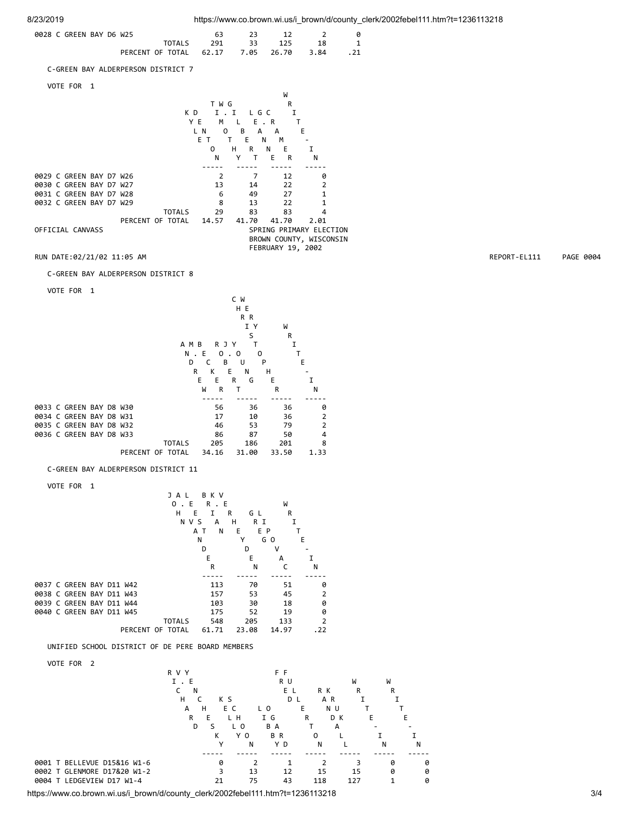| 0028 C GREEN BAY D6 W25                    |  | 23 12 2 0              |  |
|--------------------------------------------|--|------------------------|--|
|                                            |  | TOTALS 291 33 125 18 1 |  |
| PERCENT OF TOTAL 62.17 7.05 26.70 3.84 .21 |  |                        |  |

C-GREEN BAY ALDERPERSON DISTRICT 7

VOTE FOR 1

|                         |                            |          |                       | W                 |                         |  |  |  |  |  |  |
|-------------------------|----------------------------|----------|-----------------------|-------------------|-------------------------|--|--|--|--|--|--|
|                         |                            | T W G    |                       | R                 |                         |  |  |  |  |  |  |
|                         | K D                        | T        | L G C<br>$\mathbf{I}$ | I                 |                         |  |  |  |  |  |  |
|                         |                            | YE<br>м  | E.R<br>L              |                   |                         |  |  |  |  |  |  |
|                         |                            | L N<br>O | В<br>A                | A                 | E                       |  |  |  |  |  |  |
|                         | E<br>Е<br>M<br>т<br>т<br>N |          |                       |                   |                         |  |  |  |  |  |  |
|                         | н<br>Е<br>0<br>R<br>N<br>I |          |                       |                   |                         |  |  |  |  |  |  |
|                         |                            | N        | Υ<br>т                | Е<br>R            | N                       |  |  |  |  |  |  |
|                         |                            |          |                       |                   |                         |  |  |  |  |  |  |
| 0029 C GREEN BAY D7 W26 |                            | 2        | 7                     | 12                | 0                       |  |  |  |  |  |  |
| 0030 C GREEN BAY D7 W27 |                            | 13       | 14                    | 22                | 2                       |  |  |  |  |  |  |
| 0031 C GREEN BAY D7 W28 |                            | 6        | 49                    | 27                | 1                       |  |  |  |  |  |  |
| 0032 C GREEN BAY D7 W29 |                            | 8        | 13                    | 22                |                         |  |  |  |  |  |  |
|                         | <b>TOTALS</b>              | 29       | 83                    | 83                | 4                       |  |  |  |  |  |  |
|                         | PERCENT OF TOTAL           | 14.57    | 41.70                 | 41.70             | 2.01                    |  |  |  |  |  |  |
| OFFICIAL CANVASS        |                            |          |                       |                   | SPRING PRIMARY ELECTION |  |  |  |  |  |  |
|                         |                            |          |                       |                   | BROWN COUNTY, WISCONSIN |  |  |  |  |  |  |
|                         |                            |          |                       | FEBRUARY 19, 2002 |                         |  |  |  |  |  |  |

C-GREEN BAY ALDERPERSON DISTRICT 8

VOTE FOR 1

|  |                         |  |                  |               |     |       | C       | W     |       |     |                |
|--|-------------------------|--|------------------|---------------|-----|-------|---------|-------|-------|-----|----------------|
|  |                         |  |                  |               |     |       |         | H E   |       |     |                |
|  |                         |  |                  |               |     |       |         | R R   |       |     |                |
|  |                         |  |                  |               |     |       |         | I Y   |       | W   |                |
|  |                         |  |                  |               |     |       |         | S     |       | R   |                |
|  |                         |  |                  | A M B         |     | R J   | Y       | т     |       | I   |                |
|  |                         |  |                  |               | N.E |       | ο.<br>0 |       | O     |     |                |
|  |                         |  |                  | D             |     | C     | B       | U     | P     |     | E              |
|  |                         |  |                  |               | R   | K     | E       | N     | н     |     |                |
|  |                         |  |                  |               | E   | E     | R       | G     | Ε     |     | I              |
|  |                         |  |                  |               | W   | R     | т       |       | R     |     | N              |
|  |                         |  |                  |               |     |       |         |       |       |     |                |
|  | 0033 C GREEN BAY D8 W30 |  |                  |               |     | 56    |         | 36    |       | 36  | 0              |
|  | 0034 C GREEN BAY D8 W31 |  |                  |               |     | 17    |         | 10    |       | 36  | $\overline{2}$ |
|  | 0035 C GREEN BAY D8 W32 |  |                  |               |     | 46    |         | 53    |       | 79  | $\overline{2}$ |
|  | 0036 C GREEN BAY D8 W33 |  |                  |               |     | 86    |         | 87    |       | 50  | 4              |
|  |                         |  |                  | <b>TOTALS</b> |     | 205   |         | 186   |       | 201 | 8              |
|  |                         |  | PERCENT OF TOTAL |               |     | 34.16 |         | 31.00 | 33.50 |     | 1.33           |
|  |                         |  |                  |               |     |       |         |       |       |     |                |

C-GREEN BAY ALDERPERSON DISTRICT 11

VOTE FOR 1

|  |                          |  |                  | JAL           |            | вкv                      |   |       |                |       |                |  |
|--|--------------------------|--|------------------|---------------|------------|--------------------------|---|-------|----------------|-------|----------------|--|
|  |                          |  |                  | 0             | Е          | R<br>E<br>$\overline{a}$ |   |       |                | W     |                |  |
|  |                          |  |                  | н             | E          | т                        | R | GL    |                | R     |                |  |
|  |                          |  |                  |               | <b>NVS</b> | A                        | н | R I   |                | I     |                |  |
|  |                          |  |                  |               | ΑТ         | N                        | Ε |       | E P            |       |                |  |
|  |                          |  |                  |               | Ν          |                          | Υ |       | G <sub>O</sub> |       | Е              |  |
|  |                          |  |                  |               | D          |                          |   | D     | ۷              |       |                |  |
|  |                          |  |                  |               |            | E                        |   | E     |                | А     |                |  |
|  |                          |  |                  |               |            | R                        |   | N     |                | C     | N              |  |
|  |                          |  |                  |               |            |                          |   |       |                |       |                |  |
|  | 0037 C GREEN BAY D11 W42 |  |                  |               |            | 113                      |   | 70    |                | 51    | 0              |  |
|  | 0038 C GREEN BAY D11 W43 |  |                  |               |            | 157                      |   | 53    |                | 45    | $\overline{2}$ |  |
|  | 0039 C GREEN BAY D11 W44 |  |                  |               |            | 103                      |   | 30    |                | 18    | 0              |  |
|  | 0040 C GREEN BAY D11 W45 |  |                  |               |            | 175                      |   | 52    |                | 19    | 0              |  |
|  |                          |  |                  | <b>TOTALS</b> |            | 548                      |   | 205   |                | 133   | $\overline{2}$ |  |
|  |                          |  | PERCENT OF TOTAL |               |            | 61.71                    |   | 23.08 |                | 14.97 | .22            |  |

UNIFIED SCHOOL DISTRICT OF DE PERE BOARD MEMBERS

VOTE FOR 2

|        | VUIL FUN 4                  |       |     |                |     |     |     |     |   |   |   |
|--------|-----------------------------|-------|-----|----------------|-----|-----|-----|-----|---|---|---|
|        |                             | R V Y |     |                |     | F F |     |     |   |   |   |
|        |                             | I.E   |     |                |     | R U |     | W   |   | W |   |
|        |                             | N     |     |                |     | ΕL  | R K |     | R | R |   |
|        |                             | н     | K S |                |     | D L | A R |     |   |   |   |
|        |                             | А     | н   | E C            | L O | Е   |     | N U |   |   |   |
|        |                             | R     | Е   | L H            | I G | R   |     | D K | E |   | Е |
|        |                             | D     |     | L <sub>0</sub> | B A |     |     | A   |   |   |   |
|        |                             |       | к   | Y O            | BR  |     | 0   |     |   |   |   |
|        |                             |       | v   | N              |     | Y D | N   |     |   | N | N |
|        |                             |       |     |                |     |     |     |     |   |   |   |
|        | 0001 T BELLEVUE D15&16 W1-6 |       | 0   |                |     |     |     |     |   | 0 | ø |
|        | 0002 T GLENMORE D17&20 W1-2 |       |     | 13             |     | 12  | 15  | 15  |   | ø | ø |
| 0004 T | LEDGEVIEW D17 W1-4          |       | 21  | 75             |     | 43  | 118 | 127 |   |   | 0 |
|        |                             |       |     |                |     |     |     |     |   |   |   |

https://www.co.brown.wi.us/i\_brown/d/county\_clerk/2002febel111.htm?t=1236113218 3/4

RUN DATE:02/21/02 11:05 AM REPORT-EL111 PAGE 0004